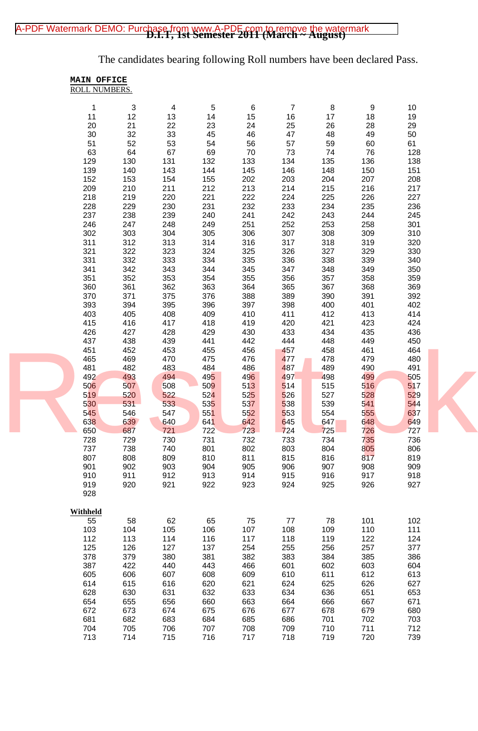## [A-PDF Watermark DEMO: Purchase from www.A-PDF.com to remove the watermark](http://www.a-pdf.com/?wm-demo)<br>**D.I.T, 1st Semester 2011 (March ~ August)**

The candidates bearing following Roll numbers have been declared Pass.

|            | MAIN OFFICE          |            |            |            |                |            |            |            |  |
|------------|----------------------|------------|------------|------------|----------------|------------|------------|------------|--|
|            | <b>ROLL NUMBERS.</b> |            |            |            |                |            |            |            |  |
| 1          | 3                    | 4          | 5          | 6          | $\overline{7}$ | 8          | 9          | 10         |  |
| 11         | 12                   | 13         | 14         | 15         | 16             | 17         | 18         | 19         |  |
| 20         | 21                   | 22         | 23         | 24         | 25             | 26         | 28         | 29         |  |
| 30         | 32                   | 33         | 45         | 46         | 47             | 48         | 49         | 50         |  |
| 51         | 52                   | 53         | 54         | 56         | 57             | 59         | 60         | 61         |  |
| 63         | 64                   | 67         | 69         | 70         | 73             | 74         | 76         | 128        |  |
| 129        | 130                  | 131        | 132        | 133        | 134            | 135        | 136        | 138        |  |
| 139<br>152 | 140<br>153           | 143<br>154 | 144<br>155 | 145<br>202 | 146<br>203     | 148<br>204 | 150<br>207 | 151<br>208 |  |
| 209        | 210                  | 211        | 212        | 213        | 214            | 215        | 216        | 217        |  |
| 218        | 219                  | 220        | 221        | 222        | 224            | 225        | 226        | 227        |  |
| 228        | 229                  | 230        | 231        | 232        | 233            | 234        | 235        | 236        |  |
| 237        | 238                  | 239        | 240        | 241        | 242            | 243        | 244        | 245        |  |
| 246        | 247                  | 248        | 249        | 251        | 252            | 253        | 258        | 301        |  |
| 302        | 303                  | 304        | 305        | 306        | 307            | 308        | 309        | 310        |  |
| 311        | 312                  | 313        | 314        | 316        | 317            | 318        | 319        | 320        |  |
| 321        | 322                  | 323        | 324        | 325        | 326            | 327        | 329        | 330        |  |
| 331        | 332                  | 333        | 334        | 335        | 336            | 338        | 339        | 340        |  |
| 341<br>351 | 342<br>352           | 343<br>353 | 344<br>354 | 345<br>355 | 347<br>356     | 348<br>357 | 349<br>358 | 350<br>359 |  |
| 360        | 361                  | 362        | 363        | 364        | 365            | 367        | 368        | 369        |  |
| 370        | 371                  | 375        | 376        | 388        | 389            | 390        | 391        | 392        |  |
| 393        | 394                  | 395        | 396        | 397        | 398            | 400        | 401        | 402        |  |
| 403        | 405                  | 408        | 409        | 410        | 411            | 412        | 413        | 414        |  |
| 415        | 416                  | 417        | 418        | 419        | 420            | 421        | 423        | 424        |  |
| 426        | 427                  | 428        | 429        | 430        | 433            | 434        | 435        | 436        |  |
| 437        | 438                  | 439        | 441        | 442        | 444            | 448        | 449        | 450        |  |
| 451        | 452                  | 453        | 455        | 456        | 457            | 458        | 461        | 464        |  |
| 465<br>481 | 469<br>482           | 470<br>483 | 475<br>484 | 476<br>486 | 477<br>487     | 478<br>489 | 479<br>490 | 480<br>491 |  |
| 492        | 493                  | 494        | 495        | 496        | 497            | 498        | 499        | 505        |  |
| 506        | 507                  | 508        | 509        | 513        | 514            | 515        | 516        | 517        |  |
| 519        | 520                  | 522        | 524        | 525        | 526            | 527        | 528        | 529        |  |
| 530        | 531                  | 533        | 535        | 537        | 538            | 539        | 541        | 544        |  |
| 545        | 546                  | 547        | 551        | 552        | 553            | 554        | 555        | 637        |  |
| 638        | 639                  | 640        | 641        | 642<br>723 | 645            | 647<br>725 | 648        | 649        |  |
| 650<br>728 | 687<br>729           | 721<br>730 | 722<br>731 | 732        | 724<br>733     | 734        | 726<br>735 | 727<br>736 |  |
| 737        | 738                  | 740        | 801        | 802        | 803            | 804        | 805        | 806        |  |
| 807        | 808                  | 809        | 810        | 811        | 815            | 816        | 817        | 819        |  |
| 901        | 902                  | 903        | 904        | 905        | 906            | 907        | 908        | 909        |  |
| 910        | 911                  | 912        | 913        | 914        | 915            | 916        | 917        | 918        |  |
| 919        | 920                  | 921        | 922        | 923        | 924            | 925        | 926        | 927        |  |
| 928        |                      |            |            |            |                |            |            |            |  |
| Withheld   |                      |            |            |            |                |            |            |            |  |
| 55         | 58                   | 62         | 65         | 75         | 77             | 78         | 101        | 102        |  |
| 103        | 104                  | 105        | 106        | 107        | 108            | 109        | 110        | 111        |  |
| 112        | 113                  | 114        | 116        | 117        | 118            | 119        | 122        | 124        |  |
| 125        | 126                  | 127        | 137        | 254        | 255            | 256        | 257        | 377        |  |
| 378        | 379                  | 380        | 381        | 382        | 383            | 384        | 385        | 386        |  |
| 387        | 422                  | 440        | 443        | 466        | 601            | 602        | 603        | 604        |  |
| 605        | 606                  | 607        | 608        | 609        | 610            | 611        | 612        | 613        |  |
| 614<br>628 | 615<br>630           | 616<br>631 | 620<br>632 | 621<br>633 | 624<br>634     | 625<br>636 | 626<br>651 | 627<br>653 |  |
| 654        | 655                  | 656        | 660        | 663        | 664            | 666        | 667        | 671        |  |
| 672        | 673                  | 674        | 675        | 676        | 677            | 678        | 679        | 680        |  |
| 681        | 682                  | 683        | 684        | 685        | 686            | 701        | 702        | 703        |  |
| 704        | 705                  | 706        | 707        | 708        | 709            | 710        | 711        | 712        |  |
| 713        | 714                  | 715        | 716        | 717        | 718            | 719        | 720        | 739        |  |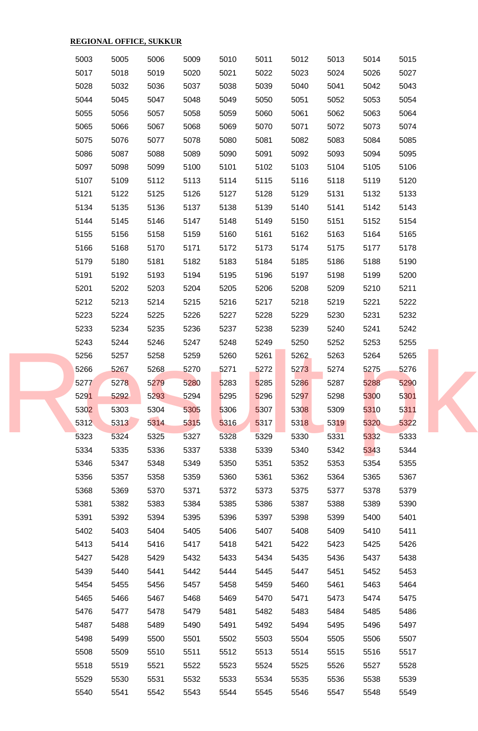| <b>REGIONAL OFFICE, SUKKUR</b> |  |              |              |              |              |              |              |              |              |              |              |  |
|--------------------------------|--|--------------|--------------|--------------|--------------|--------------|--------------|--------------|--------------|--------------|--------------|--|
|                                |  | 5003         | 5005         | 5006         | 5009         | 5010         | 5011         | 5012         | 5013         | 5014         | 5015         |  |
|                                |  | 5017         | 5018         | 5019         | 5020         | 5021         | 5022         | 5023         | 5024         | 5026         | 5027         |  |
|                                |  | 5028         | 5032         | 5036         | 5037         | 5038         | 5039         | 5040         | 5041         | 5042         | 5043         |  |
|                                |  | 5044         | 5045         | 5047         | 5048         | 5049         | 5050         | 5051         | 5052         | 5053         | 5054         |  |
|                                |  | 5055         | 5056         | 5057         | 5058         | 5059         | 5060         | 5061         | 5062         | 5063         | 5064         |  |
|                                |  | 5065         | 5066         | 5067         | 5068         | 5069         | 5070         | 5071         | 5072         | 5073         | 5074         |  |
|                                |  | 5075         | 5076         | 5077         | 5078         | 5080         | 5081         | 5082         | 5083         | 5084         | 5085         |  |
|                                |  | 5086         | 5087         | 5088         | 5089         | 5090         | 5091         | 5092         | 5093         | 5094         | 5095         |  |
|                                |  | 5097         | 5098         | 5099         | 5100         | 5101         | 5102         | 5103         | 5104         | 5105         | 5106         |  |
|                                |  | 5107         | 5109         | 5112         | 5113         | 5114         | 5115         | 5116         | 5118         | 5119         | 5120         |  |
|                                |  | 5121         | 5122         | 5125         | 5126         | 5127         | 5128         | 5129         | 5131         | 5132         | 5133         |  |
|                                |  | 5134         | 5135         | 5136         | 5137         | 5138         | 5139         | 5140         | 5141         | 5142         | 5143         |  |
|                                |  | 5144         | 5145         | 5146         | 5147         | 5148         | 5149         | 5150         | 5151         | 5152         | 5154         |  |
|                                |  | 5155         | 5156         | 5158         | 5159         | 5160         | 5161         | 5162         | 5163         | 5164         | 5165         |  |
|                                |  | 5166         | 5168         | 5170         | 5171         | 5172         | 5173         | 5174         | 5175         | 5177         | 5178         |  |
|                                |  | 5179         | 5180         | 5181         | 5182         | 5183         | 5184         | 5185         | 5186         | 5188         | 5190         |  |
|                                |  | 5191         | 5192         | 5193         | 5194         | 5195         | 5196         | 5197         | 5198         | 5199         | 5200         |  |
|                                |  | 5201         | 5202         | 5203         | 5204         | 5205         | 5206         | 5208         | 5209         | 5210         | 5211         |  |
|                                |  | 5212         | 5213         | 5214         | 5215         | 5216         | 5217         | 5218         | 5219         | 5221         | 5222         |  |
|                                |  | 5223         | 5224         | 5225         | 5226         | 5227         | 5228         | 5229         | 5230         | 5231         | 5232         |  |
|                                |  | 5233         | 5234         | 5235         | 5236         | 5237         | 5238         | 5239         | 5240         | 5241         | 5242         |  |
|                                |  | 5243         | 5244         | 5246         | 5247         | 5248         | 5249         | 5250         | 5252         | 5253         | 5255         |  |
|                                |  | 5256         | 5257         | 5258         | 5259         | 5260         | 5261         | 5262         | 5263         | 5264         | 5265         |  |
|                                |  | 5266         | 5267         | 5268         | 5270         | 5271         | 5272         | 5273         | 5274         | 5275         | 5276         |  |
|                                |  | 5277         | 5278         | 5279         | 5280         | 5283         | 5285         | 5286         | 5287         | 5288         | 5290         |  |
|                                |  | 5291         | 5292         | 5293         | 5294         | 5295         | 5296         | 5297         | 5298         | 5300         | 5301         |  |
|                                |  | 5302         | 5303         | 5304         | 5305         | 5306         | 5307         | 5308         | 5309         | 5310         | 5311         |  |
|                                |  | 5312         | 5313         | 5314         | 5315         | 5316         | 5317         | 5318         | 5319         | 5320         | 5322         |  |
|                                |  | 5323<br>5334 | 5324<br>5335 | 5325<br>5336 | 5327<br>5337 | 5328<br>5338 | 5329<br>5339 | 5330<br>5340 | 5331<br>5342 | 5332<br>5343 | 5333<br>5344 |  |
|                                |  | 5346         | 5347         | 5348         | 5349         | 5350         | 5351         | 5352         | 5353         | 5354         | 5355         |  |
|                                |  | 5356         | 5357         | 5358         | 5359         | 5360         | 5361         | 5362         | 5364         | 5365         | 5367         |  |
|                                |  | 5368         | 5369         | 5370         | 5371         | 5372         | 5373         | 5375         | 5377         | 5378         | 5379         |  |
|                                |  | 5381         | 5382         | 5383         | 5384         | 5385         | 5386         | 5387         | 5388         | 5389         | 5390         |  |
|                                |  | 5391         | 5392         | 5394         | 5395         | 5396         | 5397         | 5398         | 5399         | 5400         | 5401         |  |
|                                |  | 5402         | 5403         | 5404         | 5405         | 5406         | 5407         | 5408         | 5409         | 5410         | 5411         |  |
|                                |  | 5413         | 5414         | 5416         | 5417         | 5418         | 5421         | 5422         | 5423         | 5425         | 5426         |  |
|                                |  | 5427         | 5428         | 5429         | 5432         | 5433         | 5434         | 5435         | 5436         | 5437         | 5438         |  |
|                                |  | 5439         | 5440         | 5441         | 5442         | 5444         | 5445         | 5447         | 5451         | 5452         | 5453         |  |
|                                |  | 5454         | 5455         | 5456         | 5457         | 5458         | 5459         | 5460         | 5461         | 5463         | 5464         |  |
|                                |  | 5465         | 5466         | 5467         | 5468         | 5469         | 5470         | 5471         | 5473         | 5474         | 5475         |  |
|                                |  | 5476         | 5477         | 5478         | 5479         | 5481         | 5482         | 5483         | 5484         | 5485         | 5486         |  |
|                                |  | 5487         | 5488         | 5489         | 5490         | 5491         | 5492         | 5494         | 5495         | 5496         | 5497         |  |
|                                |  | 5498         | 5499         | 5500         | 5501         | 5502         | 5503         | 5504         | 5505         | 5506         | 5507         |  |
|                                |  | 5508         | 5509         | 5510         | 5511         | 5512         | 5513         | 5514         | 5515         | 5516         | 5517         |  |
|                                |  | 5518         | 5519         | 5521         | 5522         | 5523         | 5524         | 5525         | 5526         | 5527         | 5528         |  |
|                                |  | 5529         | 5530         | 5531         | 5532         | 5533         | 5534         | 5535         | 5536         | 5538         | 5539         |  |
|                                |  | 5540         | 5541         | 5542         | 5543         | 5544         | 5545         | 5546         | 5547         | 5548         | 5549         |  |